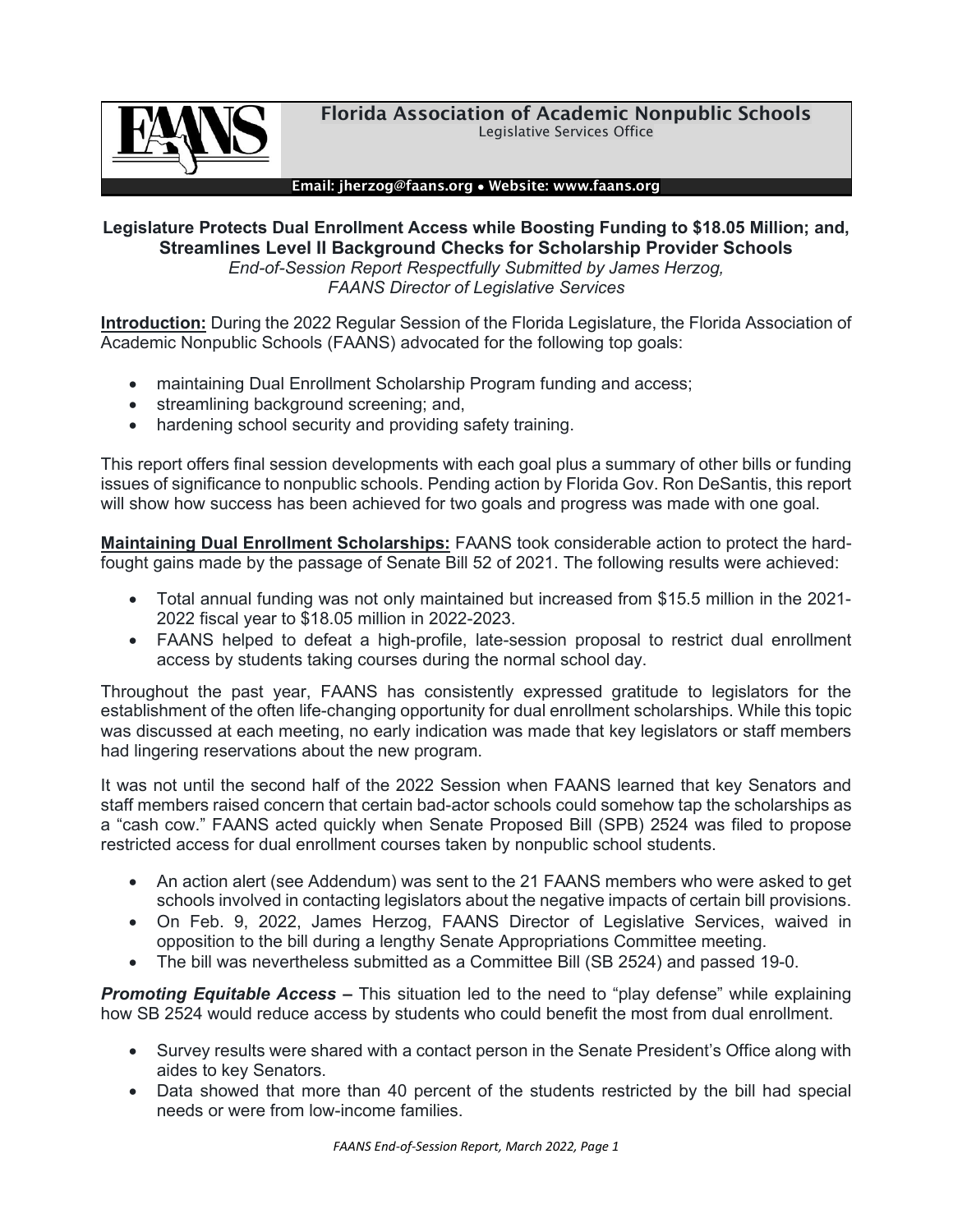

#### Email: jherzog@faans.org • Website: www.faans.org

### **Legislature Protects Dual Enrollment Access while Boosting Funding to \$18.05 Million; and, Streamlines Level II Background Checks for Scholarship Provider Schools** *End-of-Session Report Respectfully Submitted by James Herzog, FAANS Director of Legislative Services*

**Introduction:** During the 2022 Regular Session of the Florida Legislature, the Florida Association of Academic Nonpublic Schools (FAANS) advocated for the following top goals:

- maintaining Dual Enrollment Scholarship Program funding and access;
- streamlining background screening; and,
- hardening school security and providing safety training.

This report offers final session developments with each goal plus a summary of other bills or funding issues of significance to nonpublic schools. Pending action by Florida Gov. Ron DeSantis, this report will show how success has been achieved for two goals and progress was made with one goal.

**Maintaining Dual Enrollment Scholarships:** FAANS took considerable action to protect the hardfought gains made by the passage of Senate Bill 52 of 2021. The following results were achieved:

- Total annual funding was not only maintained but increased from \$15.5 million in the 2021- 2022 fiscal year to \$18.05 million in 2022-2023.
- FAANS helped to defeat a high-profile, late-session proposal to restrict dual enrollment access by students taking courses during the normal school day.

Throughout the past year, FAANS has consistently expressed gratitude to legislators for the establishment of the often life-changing opportunity for dual enrollment scholarships. While this topic was discussed at each meeting, no early indication was made that key legislators or staff members had lingering reservations about the new program.

It was not until the second half of the 2022 Session when FAANS learned that key Senators and staff members raised concern that certain bad-actor schools could somehow tap the scholarships as a "cash cow." FAANS acted quickly when Senate Proposed Bill (SPB) 2524 was filed to propose restricted access for dual enrollment courses taken by nonpublic school students.

- An action alert (see Addendum) was sent to the 21 FAANS members who were asked to get schools involved in contacting legislators about the negative impacts of certain bill provisions.
- On Feb. 9, 2022, James Herzog, FAANS Director of Legislative Services, waived in opposition to the bill during a lengthy Senate Appropriations Committee meeting.
- The bill was nevertheless submitted as a Committee Bill (SB 2524) and passed 19-0.

*Promoting Equitable Access –* This situation led to the need to "play defense" while explaining how SB 2524 would reduce access by students who could benefit the most from dual enrollment.

- Survey results were shared with a contact person in the Senate President's Office along with aides to key Senators.
- Data showed that more than 40 percent of the students restricted by the bill had special needs or were from low-income families.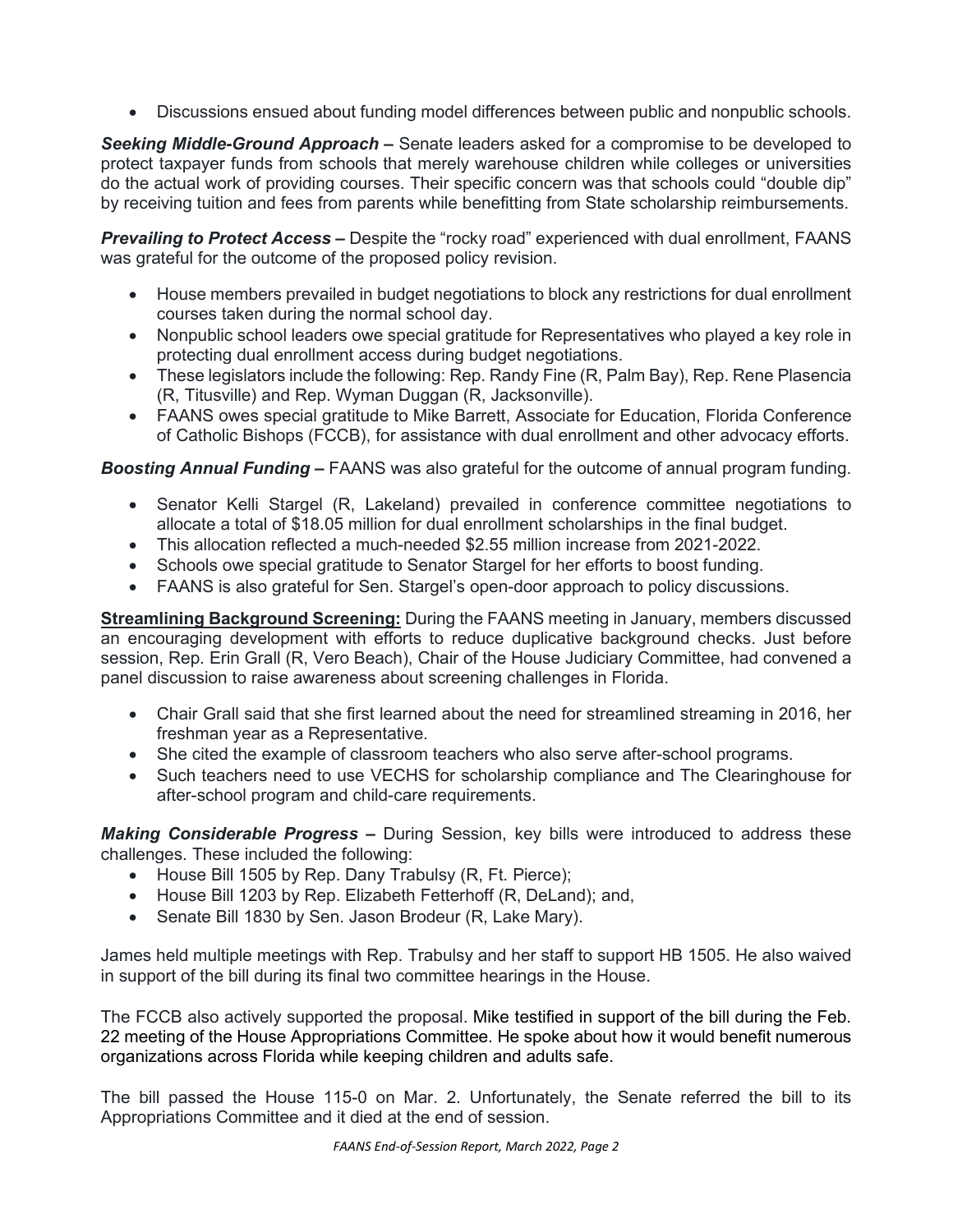• Discussions ensued about funding model differences between public and nonpublic schools.

*Seeking Middle-Ground Approach –* Senate leaders asked for a compromise to be developed to protect taxpayer funds from schools that merely warehouse children while colleges or universities do the actual work of providing courses. Their specific concern was that schools could "double dip" by receiving tuition and fees from parents while benefitting from State scholarship reimbursements.

*Prevailing to Protect Access –* Despite the "rocky road" experienced with dual enrollment, FAANS was grateful for the outcome of the proposed policy revision.

- House members prevailed in budget negotiations to block any restrictions for dual enrollment courses taken during the normal school day.
- Nonpublic school leaders owe special gratitude for Representatives who played a key role in protecting dual enrollment access during budget negotiations.
- These legislators include the following: Rep. Randy Fine (R, Palm Bay), Rep. Rene Plasencia (R, Titusville) and Rep. Wyman Duggan (R, Jacksonville).
- FAANS owes special gratitude to Mike Barrett, Associate for Education, Florida Conference of Catholic Bishops (FCCB), for assistance with dual enrollment and other advocacy efforts.

*Boosting Annual Funding –* FAANS was also grateful for the outcome of annual program funding.

- Senator Kelli Stargel (R, Lakeland) prevailed in conference committee negotiations to allocate a total of \$18.05 million for dual enrollment scholarships in the final budget.
- This allocation reflected a much-needed \$2.55 million increase from 2021-2022.
- Schools owe special gratitude to Senator Stargel for her efforts to boost funding.
- FAANS is also grateful for Sen. Stargel's open-door approach to policy discussions.

**Streamlining Background Screening:** During the FAANS meeting in January, members discussed an encouraging development with efforts to reduce duplicative background checks. Just before session, Rep. Erin Grall (R, Vero Beach), Chair of the House Judiciary Committee, had convened a panel discussion to raise awareness about screening challenges in Florida.

- Chair Grall said that she first learned about the need for streamlined streaming in 2016, her freshman year as a Representative.
- She cited the example of classroom teachers who also serve after-school programs.
- Such teachers need to use VECHS for scholarship compliance and The Clearinghouse for after-school program and child-care requirements.

*Making Considerable Progress –* During Session, key bills were introduced to address these challenges. These included the following:

- House Bill 1505 by Rep. Dany Trabulsy (R, Ft. Pierce);
- House Bill 1203 by Rep. Elizabeth Fetterhoff (R, DeLand); and,
- Senate Bill 1830 by Sen. Jason Brodeur (R, Lake Mary).

James held multiple meetings with Rep. Trabulsy and her staff to support HB 1505. He also waived in support of the bill during its final two committee hearings in the House.

The FCCB also actively supported the proposal. Mike testified in support of the bill during the Feb. 22 meeting of the House Appropriations Committee. He spoke about how it would benefit numerous organizations across Florida while keeping children and adults safe.

The bill passed the House 115-0 on Mar. 2. Unfortunately, the Senate referred the bill to its Appropriations Committee and it died at the end of session.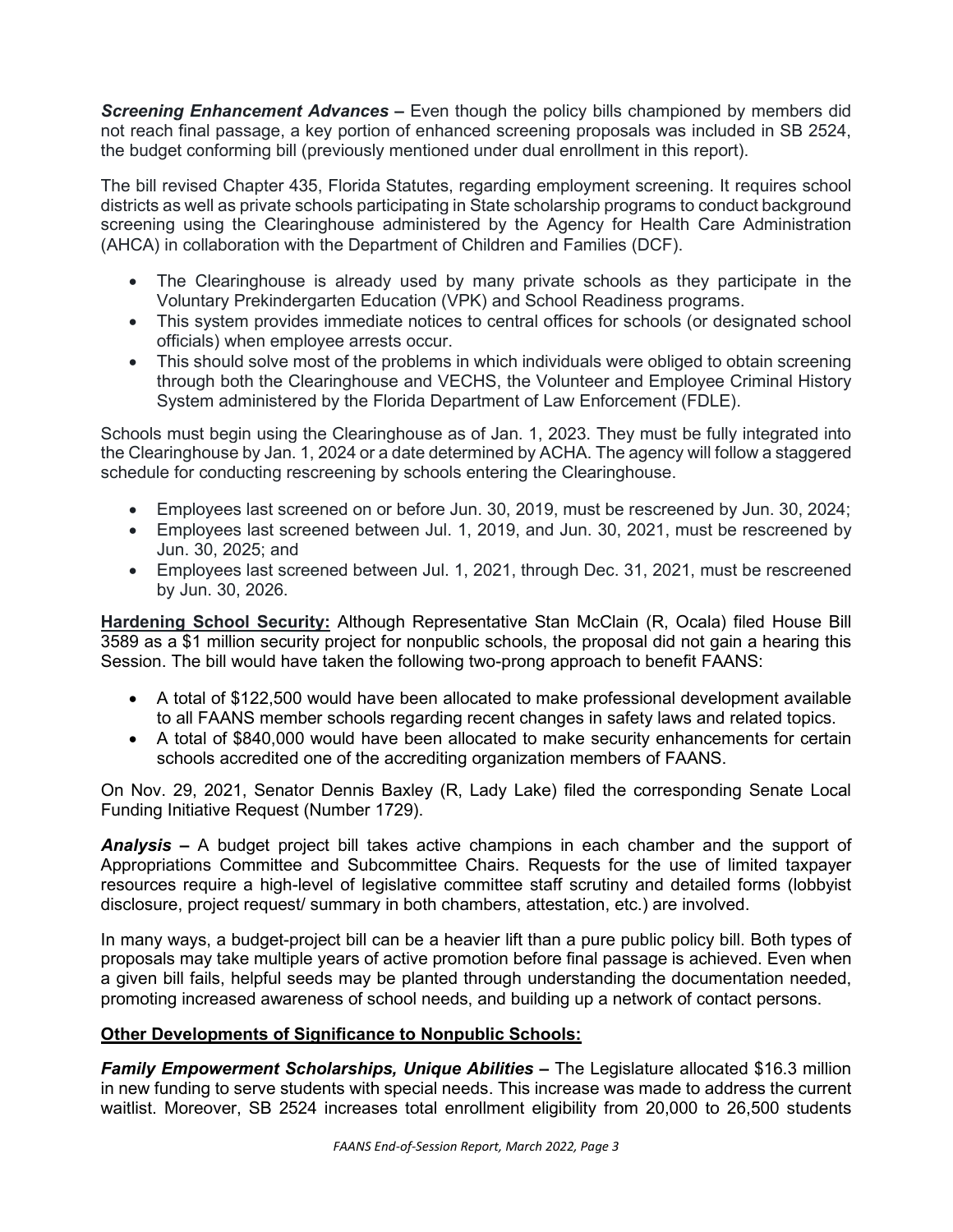*Screening Enhancement Advances –* Even though the policy bills championed by members did not reach final passage, a key portion of enhanced screening proposals was included in SB 2524, the budget conforming bill (previously mentioned under dual enrollment in this report).

The bill revised Chapter 435, Florida Statutes, regarding employment screening. It requires school districts as well as private schools participating in State scholarship programs to conduct background screening using the Clearinghouse administered by the Agency for Health Care Administration (AHCA) in collaboration with the Department of Children and Families (DCF).

- The Clearinghouse is already used by many private schools as they participate in the Voluntary Prekindergarten Education (VPK) and School Readiness programs.
- This system provides immediate notices to central offices for schools (or designated school officials) when employee arrests occur.
- This should solve most of the problems in which individuals were obliged to obtain screening through both the Clearinghouse and VECHS, the Volunteer and Employee Criminal History System administered by the Florida Department of Law Enforcement (FDLE).

Schools must begin using the Clearinghouse as of Jan. 1, 2023. They must be fully integrated into the Clearinghouse by Jan. 1, 2024 or a date determined by ACHA. The agency will follow a staggered schedule for conducting rescreening by schools entering the Clearinghouse.

- Employees last screened on or before Jun. 30, 2019, must be rescreened by Jun. 30, 2024;
- Employees last screened between Jul. 1, 2019, and Jun. 30, 2021, must be rescreened by Jun. 30, 2025; and
- Employees last screened between Jul. 1, 2021, through Dec. 31, 2021, must be rescreened by Jun. 30, 2026.

**Hardening School Security:** Although Representative Stan McClain (R, Ocala) filed House Bill 3589 as a \$1 million security project for nonpublic schools, the proposal did not gain a hearing this Session. The bill would have taken the following two-prong approach to benefit FAANS:

- A total of \$122,500 would have been allocated to make professional development available to all FAANS member schools regarding recent changes in safety laws and related topics.
- A total of \$840,000 would have been allocated to make security enhancements for certain schools accredited one of the accrediting organization members of FAANS.

On Nov. 29, 2021, Senator Dennis Baxley (R, Lady Lake) filed the corresponding Senate Local Funding Initiative Request (Number 1729).

*Analysis –* A budget project bill takes active champions in each chamber and the support of Appropriations Committee and Subcommittee Chairs. Requests for the use of limited taxpayer resources require a high-level of legislative committee staff scrutiny and detailed forms (lobbyist disclosure, project request/ summary in both chambers, attestation, etc.) are involved.

In many ways, a budget-project bill can be a heavier lift than a pure public policy bill. Both types of proposals may take multiple years of active promotion before final passage is achieved. Even when a given bill fails, helpful seeds may be planted through understanding the documentation needed, promoting increased awareness of school needs, and building up a network of contact persons.

# **Other Developments of Significance to Nonpublic Schools:**

**Family Empowerment Scholarships, Unique Abilities –** The Legislature allocated \$16.3 million in new funding to serve students with special needs. This increase was made to address the current waitlist. Moreover, SB 2524 increases total enrollment eligibility from 20,000 to 26,500 students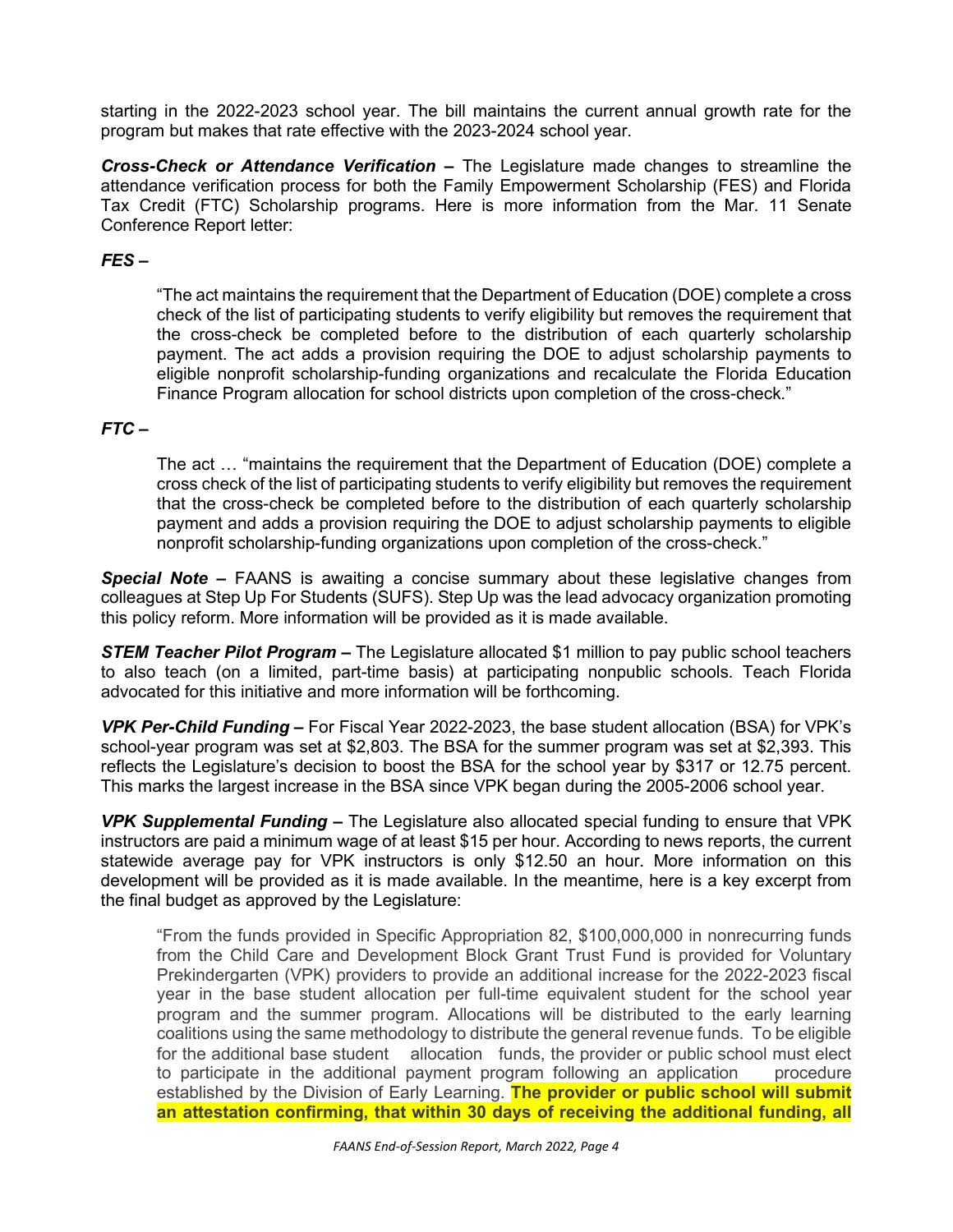starting in the 2022-2023 school year. The bill maintains the current annual growth rate for the program but makes that rate effective with the 2023-2024 school year.

*Cross-Check or Attendance Verification –* The Legislature made changes to streamline the attendance verification process for both the Family Empowerment Scholarship (FES) and Florida Tax Credit (FTC) Scholarship programs. Here is more information from the Mar. 11 Senate Conference Report letter:

## *FES –*

"The act maintains the requirement that the Department of Education (DOE) complete a cross check of the list of participating students to verify eligibility but removes the requirement that the cross-check be completed before to the distribution of each quarterly scholarship payment. The act adds a provision requiring the DOE to adjust scholarship payments to eligible nonprofit scholarship-funding organizations and recalculate the Florida Education Finance Program allocation for school districts upon completion of the cross-check."

## *FTC –*

The act … "maintains the requirement that the Department of Education (DOE) complete a cross check of the list of participating students to verify eligibility but removes the requirement that the cross-check be completed before to the distribution of each quarterly scholarship payment and adds a provision requiring the DOE to adjust scholarship payments to eligible nonprofit scholarship-funding organizations upon completion of the cross-check."

**Special Note –** FAANS is awaiting a concise summary about these legislative changes from colleagues at Step Up For Students (SUFS). Step Up was the lead advocacy organization promoting this policy reform. More information will be provided as it is made available.

*STEM Teacher Pilot Program –* The Legislature allocated \$1 million to pay public school teachers to also teach (on a limited, part-time basis) at participating nonpublic schools. Teach Florida advocated for this initiative and more information will be forthcoming.

*VPK Per-Child Funding –* For Fiscal Year 2022-2023, the base student allocation (BSA) for VPK's school-year program was set at \$2,803. The BSA for the summer program was set at \$2,393. This reflects the Legislature's decision to boost the BSA for the school year by \$317 or 12.75 percent. This marks the largest increase in the BSA since VPK began during the 2005-2006 school year.

*VPK Supplemental Funding –* The Legislature also allocated special funding to ensure that VPK instructors are paid a minimum wage of at least \$15 per hour. According to news reports, the current statewide average pay for VPK instructors is only \$12.50 an hour. More information on this development will be provided as it is made available. In the meantime, here is a key excerpt from the final budget as approved by the Legislature:

"From the funds provided in Specific Appropriation 82, \$100,000,000 in nonrecurring funds from the Child Care and Development Block Grant Trust Fund is provided for Voluntary Prekindergarten (VPK) providers to provide an additional increase for the 2022-2023 fiscal year in the base student allocation per full-time equivalent student for the school year program and the summer program. Allocations will be distributed to the early learning coalitions using the same methodology to distribute the general revenue funds. To be eligible for the additional base student allocation funds, the provider or public school must elect to participate in the additional payment program following an application procedure established by the Division of Early Learning. **The provider or public school will submit an attestation confirming, that within 30 days of receiving the additional funding, all**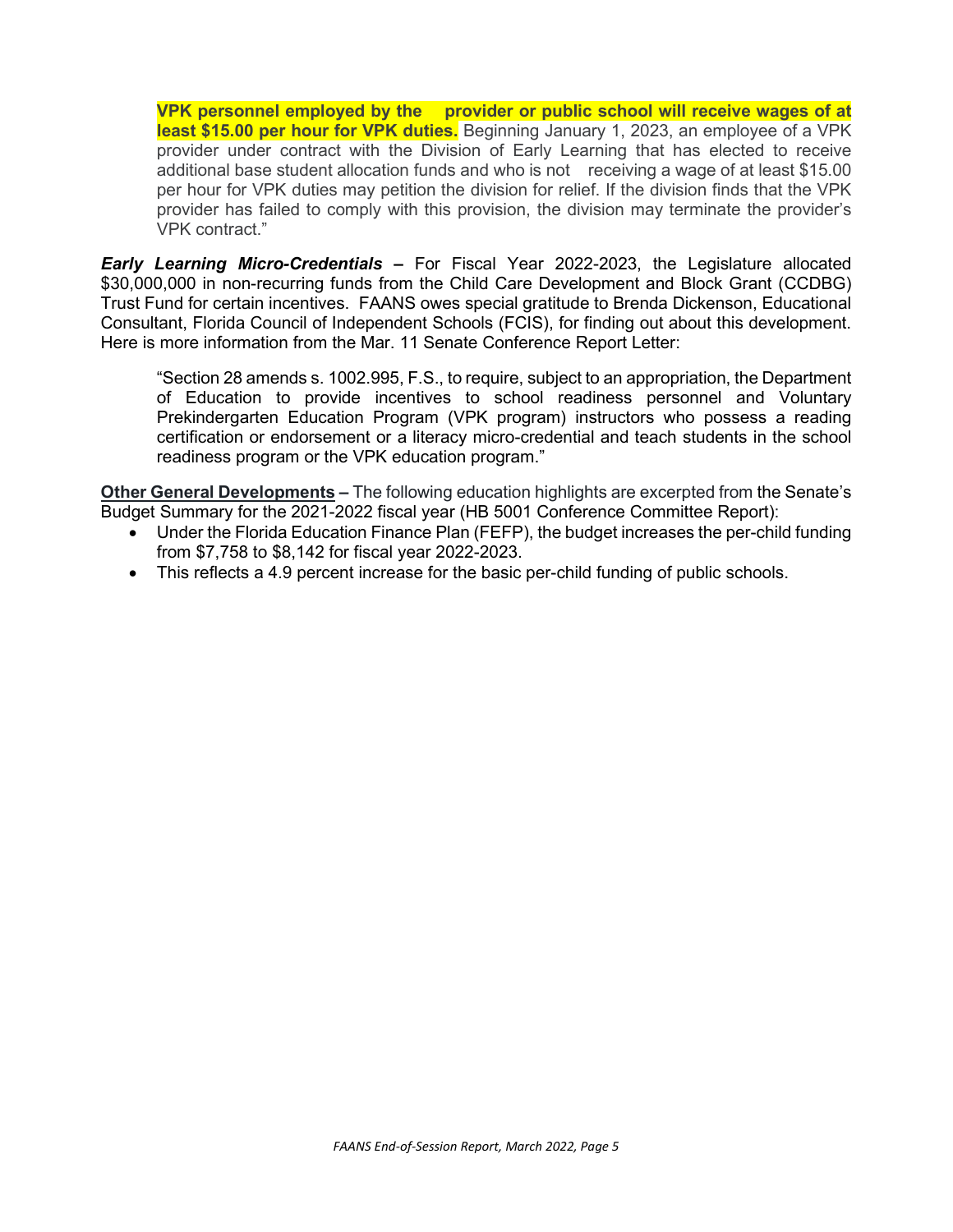**VPK personnel employed by the provider or public school will receive wages of at least \$15.00 per hour for VPK duties.** Beginning January 1, 2023, an employee of a VPK provider under contract with the Division of Early Learning that has elected to receive additional base student allocation funds and who is not receiving a wage of at least \$15.00 per hour for VPK duties may petition the division for relief. If the division finds that the VPK provider has failed to comply with this provision, the division may terminate the provider's VPK contract."

*Early Learning Micro-Credentials –* For Fiscal Year 2022-2023, the Legislature allocated \$30,000,000 in non-recurring funds from the Child Care Development and Block Grant (CCDBG) Trust Fund for certain incentives. FAANS owes special gratitude to Brenda Dickenson, Educational Consultant, Florida Council of Independent Schools (FCIS), for finding out about this development. Here is more information from the Mar. 11 Senate Conference Report Letter:

"Section 28 amends s. 1002.995, F.S., to require, subject to an appropriation, the Department of Education to provide incentives to school readiness personnel and Voluntary Prekindergarten Education Program (VPK program) instructors who possess a reading certification or endorsement or a literacy micro-credential and teach students in the school readiness program or the VPK education program."

**Other General Developments** *–* The following education highlights are excerpted from the Senate's Budget Summary for the 2021-2022 fiscal year (HB 5001 Conference Committee Report):

- Under the Florida Education Finance Plan (FEFP), the budget increases the per-child funding from \$7,758 to \$8,142 for fiscal year 2022-2023.
- This reflects a 4.9 percent increase for the basic per-child funding of public schools.